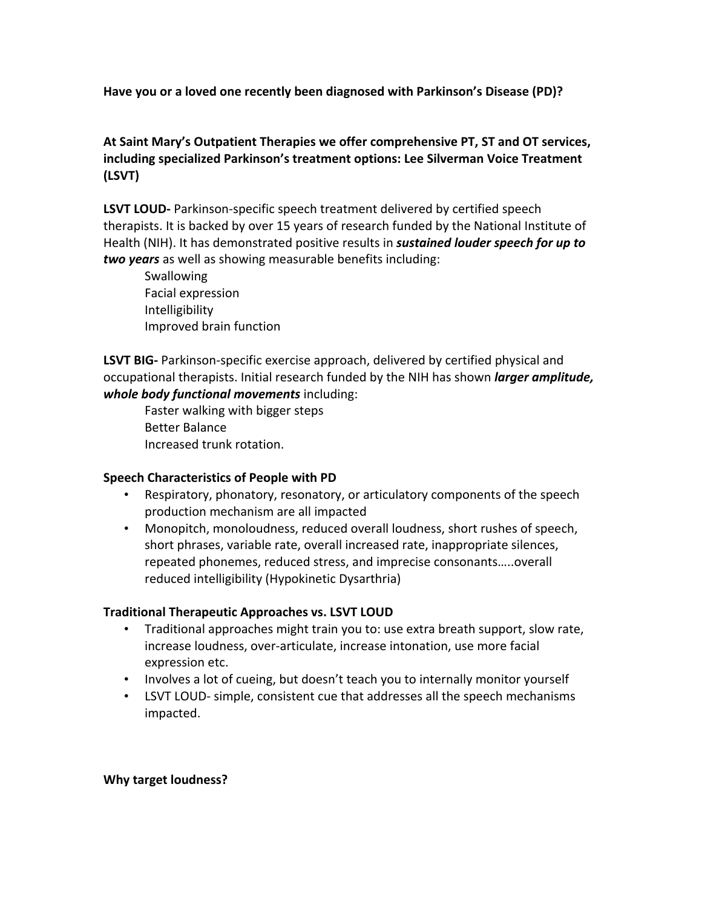Have you or a loved one recently been diagnosed with Parkinson's Disease (PD)?

## At Saint Mary's Outpatient Therapies we offer comprehensive PT, ST and OT services, including specialized Parkinson's treatment options: Lee Silverman Voice Treatment **(LSVT)**

**LSVT LOUD-** Parkinson-specific speech treatment delivered by certified speech therapists. It is backed by over 15 years of research funded by the National Institute of Health (NIH). It has demonstrated positive results in *sustained louder speech for up to two years* as well as showing measurable benefits including:

Swallowing Facial expression Intelligibility Improved brain function

**LSVT BIG-** Parkinson-specific exercise approach, delivered by certified physical and occupational therapists. Initial research funded by the NIH has shown *larger amplitude*, *whole body functional movements including:* 

Faster walking with bigger steps Better Balance Increased trunk rotation.

#### **Speech Characteristics of People with PD**

- Respiratory, phonatory, resonatory, or articulatory components of the speech production mechanism are all impacted
- Monopitch, monoloudness, reduced overall loudness, short rushes of speech, short phrases, variable rate, overall increased rate, inappropriate silences, repeated phonemes, reduced stress, and imprecise consonants.....overall reduced intelligibility (Hypokinetic Dysarthria)

## **Traditional Therapeutic Approaches vs. LSVT LOUD**

- Traditional approaches might train you to: use extra breath support, slow rate, increase loudness, over-articulate, increase intonation, use more facial expression etc.
- Involves a lot of cueing, but doesn't teach you to internally monitor yourself
- LSVT LOUD- simple, consistent cue that addresses all the speech mechanisms impacted.

#### **Why target loudness?**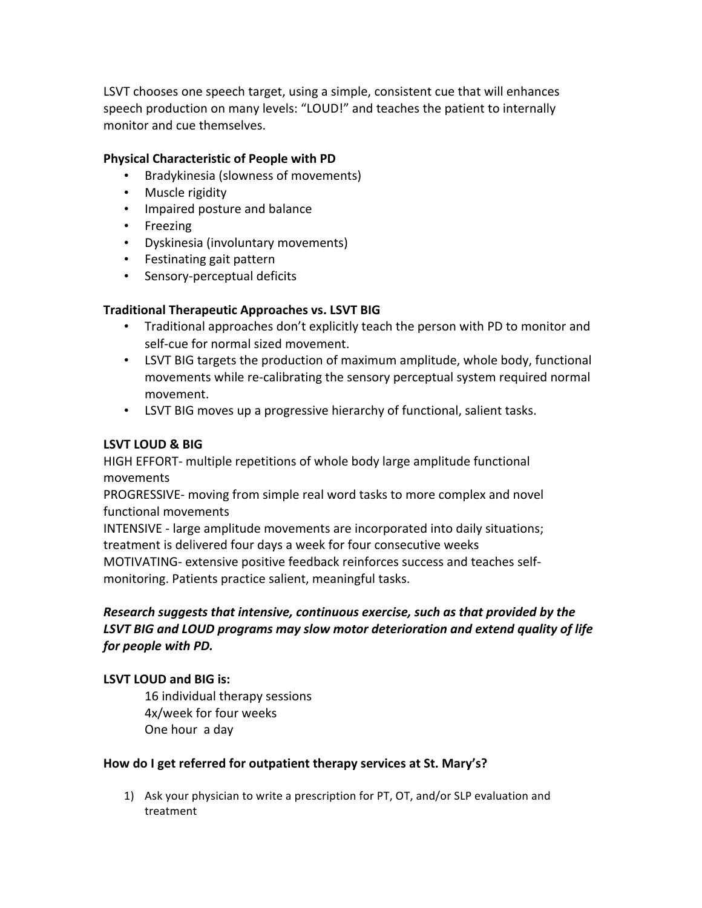LSVT chooses one speech target, using a simple, consistent cue that will enhances speech production on many levels: "LOUD!" and teaches the patient to internally monitor and cue themselves.

#### **Physical Characteristic of People with PD**

- Bradykinesia (slowness of movements)
- Muscle rigidity
- Impaired posture and balance
- Freezing
- Dyskinesia (involuntary movements)
- Festinating gait pattern
- Sensory-perceptual deficits

# **Traditional Therapeutic Approaches vs. LSVT BIG**

- Traditional approaches don't explicitly teach the person with PD to monitor and self-cue for normal sized movement.
- LSVT BIG targets the production of maximum amplitude, whole body, functional movements while re-calibrating the sensory perceptual system required normal movement.
- LSVT BIG moves up a progressive hierarchy of functional, salient tasks.

## **LSVT LOUD & BIG**

HIGH EFFORT- multiple repetitions of whole body large amplitude functional movements

PROGRESSIVE- moving from simple real word tasks to more complex and novel functional movements

INTENSIVE - large amplitude movements are incorporated into daily situations; treatment is delivered four days a week for four consecutive weeks MOTIVATING- extensive positive feedback reinforces success and teaches self-

monitoring. Patients practice salient, meaningful tasks.

# *Research suggests that intensive, continuous exercise, such as that provided by the* LSVT BIG and LOUD programs may slow motor deterioration and extend quality of life *for people with PD.*

## **LSVT LOUD and BIG is:**

16 individual therapy sessions 4x/week for four weeks One hour a day

## How do I get referred for outpatient therapy services at St. Mary's?

1) Ask your physician to write a prescription for PT, OT, and/or SLP evaluation and treatment